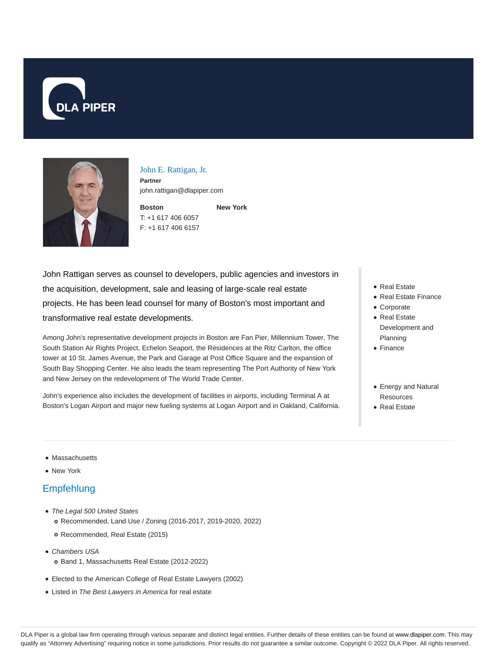



#### John E. Rattigan, Jr.

**Partner** john.rattigan@dlapiper.com

**Boston** T: +1 617 406 6057 F: +1 617 406 6157 **New York**

John Rattigan serves as counsel to developers, public agencies and investors in the acquisition, development, sale and leasing of large-scale real estate projects. He has been lead counsel for many of Boston's most important and transformative real estate developments.

Among John's representative development projects in Boston are Fan Pier, Millennium Tower, The South Station Air Rights Project, Echelon Seaport, the Residences at the Ritz Carlton, the office tower at 10 St. James Avenue, the Park and Garage at Post Office Square and the expansion of South Bay Shopping Center. He also leads the team representing The Port Authority of New York and New Jersey on the redevelopment of The World Trade Center.

John's experience also includes the development of facilities in airports, including Terminal A at Boston's Logan Airport and major new fueling systems at Logan Airport and in Oakland, California.

- Real Estate
- Real Estate Finance
- Corporate
- Real Estate Development and Planning
- Finance
- Energy and Natural **Resources**
- Real Estate

#### • Massachusetts

• New York

### Empfehlung

- The Legal 500 United States
	- Recommended, Land Use / Zoning (2016-2017, 2019-2020, 2022)
	- Recommended, Real Estate (2015)
- Chambers USA
	- Band 1, Massachusetts Real Estate (2012-2022)
- Elected to the American College of Real Estate Lawyers (2002)
- Listed in The Best Lawyers in America for real estate